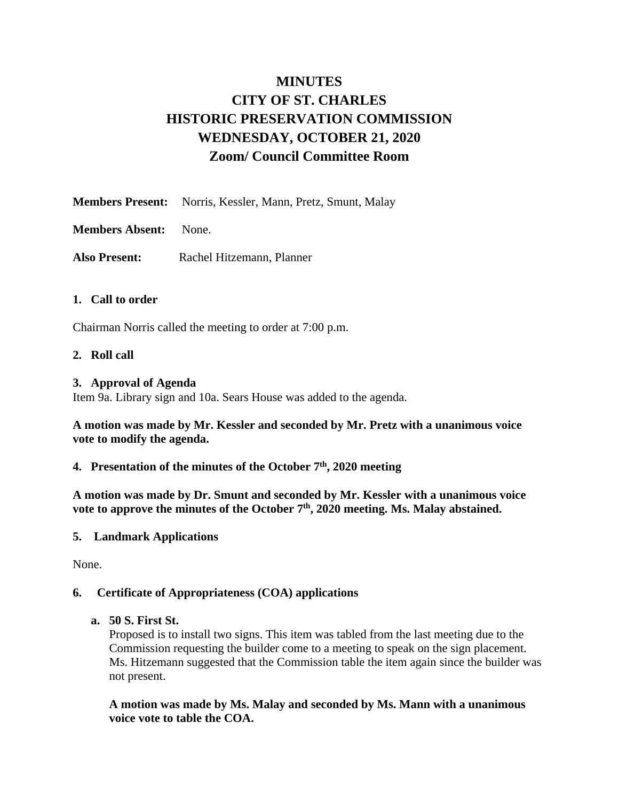## **MINUTES CITY OF ST. CHARLES HISTORIC PRESERVATION COMMISSION WEDNESDAY, OCTOBER 21, 2020 Zoom/ Council Committee Room**

- **Members Present:** Norris, Kessler, Mann, Pretz, Smunt, Malay
- **Members Absent:** None.
- **Also Present:** Rachel Hitzemann, Planner

## **1. Call to order**

Chairman Norris called the meeting to order at 7:00 p.m.

## **2. Roll call**

#### **3. Approval of Agenda**

Item 9a. Library sign and 10a. Sears House was added to the agenda.

**A motion was made by Mr. Kessler and seconded by Mr. Pretz with a unanimous voice vote to modify the agenda.** 

**4. Presentation of the minutes of the October 7 th , 2020 meeting**

**A motion was made by Dr. Smunt and seconded by Mr. Kessler with a unanimous voice vote to approve the minutes of the October 7 th, 2020 meeting. Ms. Malay abstained.**

#### **5. Landmark Applications**

None.

#### **6. Certificate of Appropriateness (COA) applications**

#### **a. 50 S. First St.**

Proposed is to install two signs. This item was tabled from the last meeting due to the Commission requesting the builder come to a meeting to speak on the sign placement. Ms. Hitzemann suggested that the Commission table the item again since the builder was not present.

#### **A motion was made by Ms. Malay and seconded by Ms. Mann with a unanimous voice vote to table the COA.**